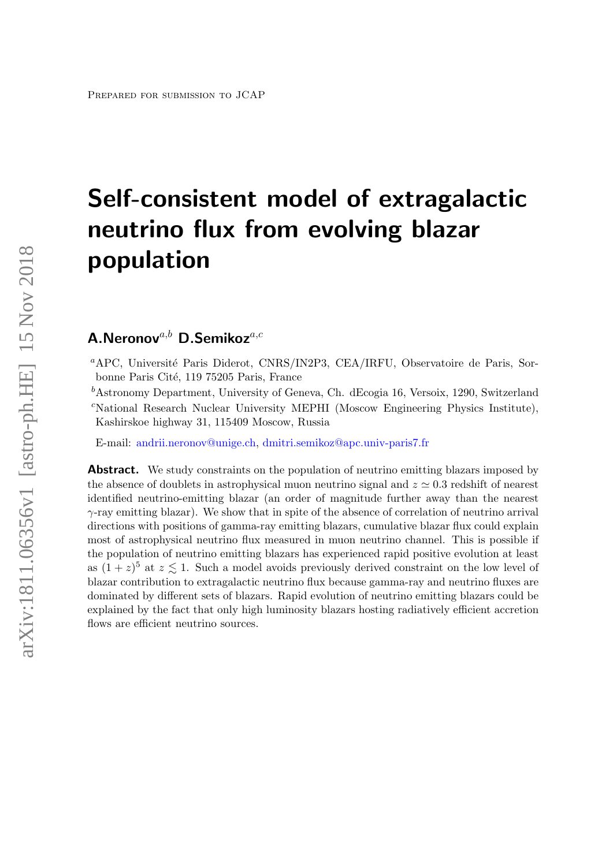# Self-consistent model of extragalactic neutrino flux from evolving blazar population

A.Neronov<sup>a,b</sup> D.Semikoz<sup>a,c</sup>

<sup>a</sup>APC, Université Paris Diderot, CNRS/IN2P3, CEA/IRFU, Observatoire de Paris, Sorbonne Paris Cité, 119 75205 Paris, France

 $<sup>b</sup>$ Astronomy Department, University of Geneva, Ch. dEcogia 16, Versoix, 1290, Switzerland</sup> <sup>c</sup>National Research Nuclear University MEPHI (Moscow Engineering Physics Institute), Kashirskoe highway 31, 115409 Moscow, Russia

E-mail: [andrii.neronov@unige.ch,](mailto:andrii.neronov@unige.ch) [dmitri.semikoz@apc.univ-paris7.fr](mailto:dmitri.semikoz@apc.univ-paris7.fr)

**Abstract.** We study constraints on the population of neutrino emitting blazars imposed by the absence of doublets in astrophysical muon neutrino signal and  $z \approx 0.3$  redshift of nearest identified neutrino-emitting blazar (an order of magnitude further away than the nearest  $\gamma$ -ray emitting blazar). We show that in spite of the absence of correlation of neutrino arrival directions with positions of gamma-ray emitting blazars, cumulative blazar flux could explain most of astrophysical neutrino flux measured in muon neutrino channel. This is possible if the population of neutrino emitting blazars has experienced rapid positive evolution at least as  $(1+z)^5$  at  $z \leq 1$ . Such a model avoids previously derived constraint on the low level of blazar contribution to extragalactic neutrino flux because gamma-ray and neutrino fluxes are dominated by different sets of blazars. Rapid evolution of neutrino emitting blazars could be explained by the fact that only high luminosity blazars hosting radiatively efficient accretion flows are efficient neutrino sources.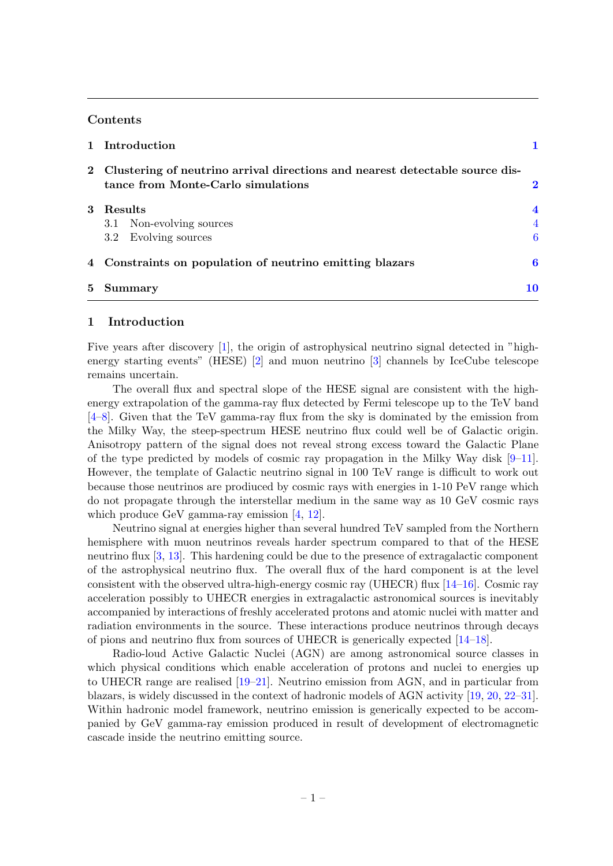#### **Contents**

| 1 Introduction                                                                                                       |                         |
|----------------------------------------------------------------------------------------------------------------------|-------------------------|
| 2 Clustering of neutrino arrival directions and nearest detectable source dis-<br>tance from Monte-Carlo simulations | $\overline{\mathbf{2}}$ |
| 3 Results<br>3.1 Non-evolving sources<br>3.2 Evolving sources                                                        | $\overline{4}$<br>6     |
| 4 Constraints on population of neutrino emitting blazars                                                             | 6                       |
| 5 Summary                                                                                                            | 10                      |

## <span id="page-1-0"></span>1 Introduction

Five years after discovery [\[1\]](#page-11-0), the origin of astrophysical neutrino signal detected in "highenergy starting events" (HESE) [\[2\]](#page-11-1) and muon neutrino [\[3\]](#page-11-2) channels by IceCube telescope remains uncertain.

The overall flux and spectral slope of the HESE signal are consistent with the highenergy extrapolation of the gamma-ray flux detected by Fermi telescope up to the TeV band [\[4](#page-11-3)[–8\]](#page-11-4). Given that the TeV gamma-ray flux from the sky is dominated by the emission from the Milky Way, the steep-spectrum HESE neutrino flux could well be of Galactic origin. Anisotropy pattern of the signal does not reveal strong excess toward the Galactic Plane of the type predicted by models of cosmic ray propagation in the Milky Way disk  $[9-11]$  $[9-11]$ . However, the template of Galactic neutrino signal in 100 TeV range is difficult to work out because those neutrinos are prodiuced by cosmic rays with energies in 1-10 PeV range which do not propagate through the interstellar medium in the same way as 10 GeV cosmic rays which produce GeV gamma-ray emission [\[4,](#page-11-3) [12\]](#page-12-0).

Neutrino signal at energies higher than several hundred TeV sampled from the Northern hemisphere with muon neutrinos reveals harder spectrum compared to that of the HESE neutrino flux [\[3,](#page-11-2) [13\]](#page-12-1). This hardening could be due to the presence of extragalactic component of the astrophysical neutrino flux. The overall flux of the hard component is at the level consistent with the observed ultra-high-energy cosmic ray (UHECR) flux [\[14–](#page-12-2)[16\]](#page-12-3). Cosmic ray acceleration possibly to UHECR energies in extragalactic astronomical sources is inevitably accompanied by interactions of freshly accelerated protons and atomic nuclei with matter and radiation environments in the source. These interactions produce neutrinos through decays of pions and neutrino flux from sources of UHECR is generically expected [\[14–](#page-12-2)[18\]](#page-12-4).

Radio-loud Active Galactic Nuclei (AGN) are among astronomical source classes in which physical conditions which enable acceleration of protons and nuclei to energies up to UHECR range are realised [\[19](#page-12-5)[–21\]](#page-12-6). Neutrino emission from AGN, and in particular from blazars, is widely discussed in the context of hadronic models of AGN activity [\[19,](#page-12-5) [20,](#page-12-7) [22–](#page-12-8)[31\]](#page-13-0). Within hadronic model framework, neutrino emission is generically expected to be accompanied by GeV gamma-ray emission produced in result of development of electromagnetic cascade inside the neutrino emitting source.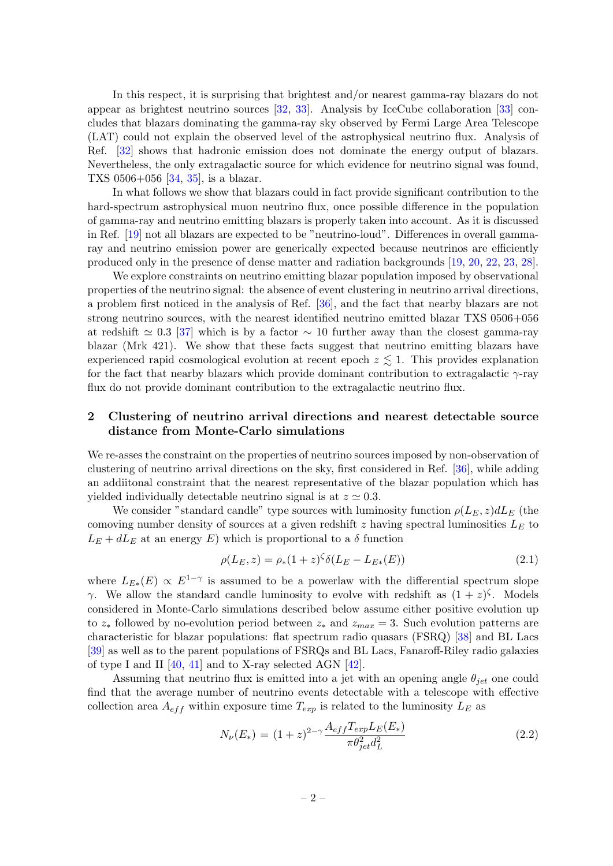In this respect, it is surprising that brightest and/or nearest gamma-ray blazars do not appear as brightest neutrino sources [\[32,](#page-13-1) [33\]](#page-13-2). Analysis by IceCube collaboration [\[33\]](#page-13-2) concludes that blazars dominating the gamma-ray sky observed by Fermi Large Area Telescope (LAT) could not explain the observed level of the astrophysical neutrino flux. Analysis of Ref. [\[32\]](#page-13-1) shows that hadronic emission does not dominate the energy output of blazars. Nevertheless, the only extragalactic source for which evidence for neutrino signal was found, TXS 0506+056 [\[34,](#page-13-3) [35\]](#page-13-4), is a blazar.

In what follows we show that blazars could in fact provide significant contribution to the hard-spectrum astrophysical muon neutrino flux, once possible difference in the population of gamma-ray and neutrino emitting blazars is properly taken into account. As it is discussed in Ref. [\[19\]](#page-12-5) not all blazars are expected to be "neutrino-loud". Differences in overall gammaray and neutrino emission power are generically expected because neutrinos are efficiently produced only in the presence of dense matter and radiation backgrounds [\[19,](#page-12-5) [20,](#page-12-7) [22,](#page-12-8) [23,](#page-12-9) [28\]](#page-12-10).

We explore constraints on neutrino emitting blazar population imposed by observational properties of the neutrino signal: the absence of event clustering in neutrino arrival directions, a problem first noticed in the analysis of Ref. [\[36\]](#page-13-5), and the fact that nearby blazars are not strong neutrino sources, with the nearest identified neutrino emitted blazar TXS 0506+056 at redshift  $\approx 0.3$  [\[37\]](#page-13-6) which is by a factor  $\sim 10$  further away than the closest gamma-ray blazar (Mrk 421). We show that these facts suggest that neutrino emitting blazars have experienced rapid cosmological evolution at recent epoch  $z \leq 1$ . This provides explanation for the fact that nearby blazars which provide dominant contribution to extragalactic  $\gamma$ -ray flux do not provide dominant contribution to the extragalactic neutrino flux.

# <span id="page-2-0"></span>2 Clustering of neutrino arrival directions and nearest detectable source distance from Monte-Carlo simulations

We re-asses the constraint on the properties of neutrino sources imposed by non-observation of clustering of neutrino arrival directions on the sky, first considered in Ref. [\[36\]](#page-13-5), while adding an addiitonal constraint that the nearest representative of the blazar population which has yielded individually detectable neutrino signal is at  $z \approx 0.3$ .

We consider "standard candle" type sources with luminosity function  $\rho(L_E, z) dL_E$  (the comoving number density of sources at a given redshift  $z$  having spectral luminosities  $L<sub>E</sub>$  to  $L_E + dL_E$  at an energy E) which is proportional to a  $\delta$  function

<span id="page-2-2"></span>
$$
\rho(L_E, z) = \rho_*(1+z)^{\zeta} \delta(L_E - L_{E*}(E)) \tag{2.1}
$$

where  $L_{E*}(E) \propto E^{1-\gamma}$  is assumed to be a powerlaw with the differential spectrum slope γ. We allow the standard candle luminosity to evolve with redshift as  $(1 + z)^{\zeta}$ . Models considered in Monte-Carlo simulations described below assume either positive evolution up to  $z_*$  followed by no-evolution period between  $z_*$  and  $z_{max} = 3$ . Such evolution patterns are characteristic for blazar populations: flat spectrum radio quasars (FSRQ) [\[38\]](#page-14-0) and BL Lacs [\[39\]](#page-14-1) as well as to the parent populations of FSRQs and BL Lacs, Fanaroff-Riley radio galaxies of type I and II  $[40, 41]$  $[40, 41]$  $[40, 41]$  and to X-ray selected AGN  $[42]$ .

Assuming that neutrino flux is emitted into a jet with an opening angle  $\theta_{jet}$  one could find that the average number of neutrino events detectable with a telescope with effective collection area  $A_{eff}$  within exposure time  $T_{exp}$  is related to the luminosity  $L_E$  as

<span id="page-2-1"></span>
$$
N_{\nu}(E_*) = (1+z)^{2-\gamma} \frac{A_{eff} T_{exp} L_E(E_*)}{\pi \theta_{jet}^2 d_L^2}
$$
\n(2.2)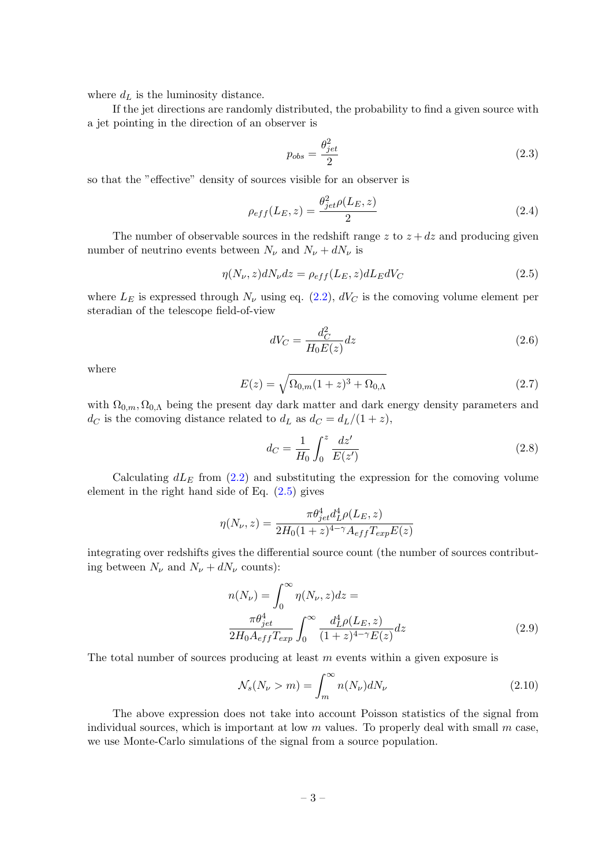where  $d<sub>L</sub>$  is the luminosity distance.

If the jet directions are randomly distributed, the probability to find a given source with a jet pointing in the direction of an observer is

$$
p_{obs} = \frac{\theta_{jet}^2}{2} \tag{2.3}
$$

so that the "effective" density of sources visible for an observer is

$$
\rho_{eff}(L_E, z) = \frac{\theta_{jet}^2 \rho(L_E, z)}{2} \tag{2.4}
$$

The number of observable sources in the redshift range z to  $z + dz$  and producing given number of neutrino events between  $N_{\nu}$  and  $N_{\nu} + dN_{\nu}$  is

<span id="page-3-0"></span>
$$
\eta(N_{\nu}, z)dN_{\nu}dz = \rho_{eff}(L_E, z)dL_E dV_C \tag{2.5}
$$

where  $L_E$  is expressed through  $N_{\nu}$  using eq. [\(2.2\)](#page-2-1),  $dV_C$  is the comoving volume element per steradian of the telescope field-of-view

$$
dV_C = \frac{d_C^2}{H_0 E(z)} dz
$$
\n
$$
(2.6)
$$

where

$$
E(z) = \sqrt{\Omega_{0,m}(1+z)^3 + \Omega_{0,\Lambda}}
$$
\n(2.7)

with  $\Omega_{0,m}, \Omega_{0,\Lambda}$  being the present day dark matter and dark energy density parameters and  $d_C$  is the comoving distance related to  $d_L$  as  $d_C = d_L/(1+z)$ ,

$$
d_C = \frac{1}{H_0} \int_0^z \frac{dz'}{E(z')}
$$
 (2.8)

Calculating  $dL<sub>E</sub>$  from [\(2.2\)](#page-2-1) and substituting the expression for the comoving volume element in the right hand side of Eq. [\(2.5\)](#page-3-0) gives

$$
\eta(N_{\nu},z) = \frac{\pi \theta_{jet}^4 d_L^4 \rho(L_E, z)}{2H_0 (1+z)^{4-\gamma} A_{eff} T_{exp} E(z)}
$$

integrating over redshifts gives the differential source count (the number of sources contributing between  $N_{\nu}$  and  $N_{\nu} + dN_{\nu}$  counts):

$$
n(N_{\nu}) = \int_0^{\infty} \eta(N_{\nu}, z) dz =
$$
  

$$
\frac{\pi \theta_{jet}^4}{2H_0 A_{eff} T_{exp}} \int_0^{\infty} \frac{d_L^4 \rho(L_E, z)}{(1+z)^{4-\gamma} E(z)} dz
$$
 (2.9)

The total number of sources producing at least  $m$  events within a given exposure is

$$
\mathcal{N}_s(N_\nu > m) = \int_m^\infty n(N_\nu) dN_\nu \tag{2.10}
$$

The above expression does not take into account Poisson statistics of the signal from individual sources, which is important at low  $m$  values. To properly deal with small  $m$  case, we use Monte-Carlo simulations of the signal from a source population.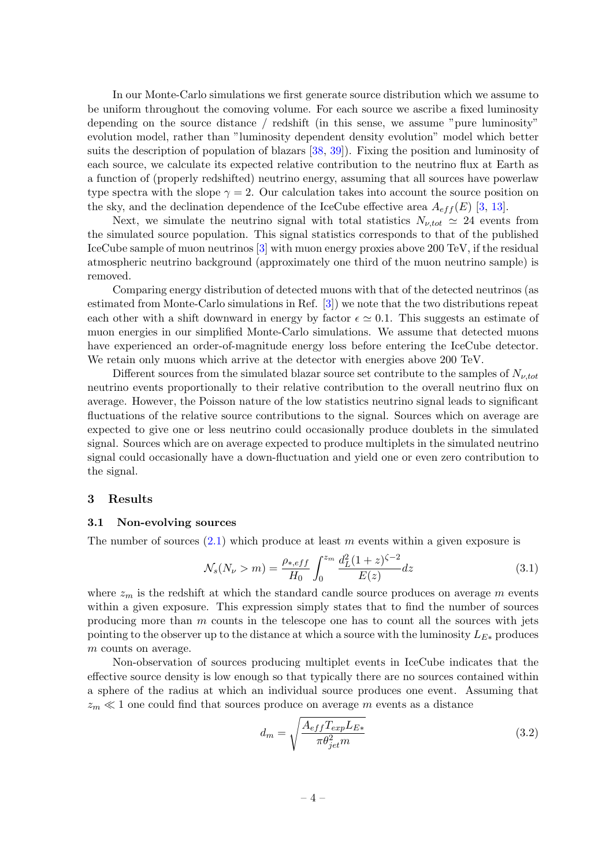In our Monte-Carlo simulations we first generate source distribution which we assume to be uniform throughout the comoving volume. For each source we ascribe a fixed luminosity depending on the source distance / redshift (in this sense, we assume "pure luminosity" evolution model, rather than "luminosity dependent density evolution" model which better suits the description of population of blazars [\[38,](#page-14-0) [39\]](#page-14-1)). Fixing the position and luminosity of each source, we calculate its expected relative contribution to the neutrino flux at Earth as a function of (properly redshifted) neutrino energy, assuming that all sources have powerlaw type spectra with the slope  $\gamma = 2$ . Our calculation takes into account the source position on the sky, and the declination dependence of the IceCube effective area  $A_{eff}(E)$  [\[3,](#page-11-2) [13\]](#page-12-1).

Next, we simulate the neutrino signal with total statistics  $N_{\nu,tot} \approx 24$  events from the simulated source population. This signal statistics corresponds to that of the published IceCube sample of muon neutrinos [\[3\]](#page-11-2) with muon energy proxies above 200 TeV, if the residual atmospheric neutrino background (approximately one third of the muon neutrino sample) is removed.

Comparing energy distribution of detected muons with that of the detected neutrinos (as estimated from Monte-Carlo simulations in Ref. [\[3\]](#page-11-2)) we note that the two distributions repeat each other with a shift downward in energy by factor  $\epsilon \simeq 0.1$ . This suggests an estimate of muon energies in our simplified Monte-Carlo simulations. We assume that detected muons have experienced an order-of-magnitude energy loss before entering the IceCube detector. We retain only muons which arrive at the detector with energies above 200 TeV.

Different sources from the simulated blazar source set contribute to the samples of  $N_{\nu,tot}$ neutrino events proportionally to their relative contribution to the overall neutrino flux on average. However, the Poisson nature of the low statistics neutrino signal leads to significant fluctuations of the relative source contributions to the signal. Sources which on average are expected to give one or less neutrino could occasionally produce doublets in the simulated signal. Sources which are on average expected to produce multiplets in the simulated neutrino signal could occasionally have a down-fluctuation and yield one or even zero contribution to the signal.

#### <span id="page-4-0"></span>3 Results

## <span id="page-4-1"></span>3.1 Non-evolving sources

The number of sources  $(2.1)$  which produce at least m events within a given exposure is

$$
\mathcal{N}_s(N_\nu > m) = \frac{\rho_{*,eff}}{H_0} \int_0^{z_m} \frac{d_L^2 (1+z)^{\zeta - 2}}{E(z)} dz
$$
\n(3.1)

where  $z_m$  is the redshift at which the standard candle source produces on average m events within a given exposure. This expression simply states that to find the number of sources producing more than m counts in the telescope one has to count all the sources with jets pointing to the observer up to the distance at which a source with the luminosity  $L_{E*}$  produces m counts on average.

Non-observation of sources producing multiplet events in IceCube indicates that the effective source density is low enough so that typically there are no sources contained within a sphere of the radius at which an individual source produces one event. Assuming that  $z_m \ll 1$  one could find that sources produce on average m events as a distance

$$
d_m = \sqrt{\frac{A_{eff} T_{exp} L_{E*}}{\pi \theta_{jet}^2 m}}
$$
\n(3.2)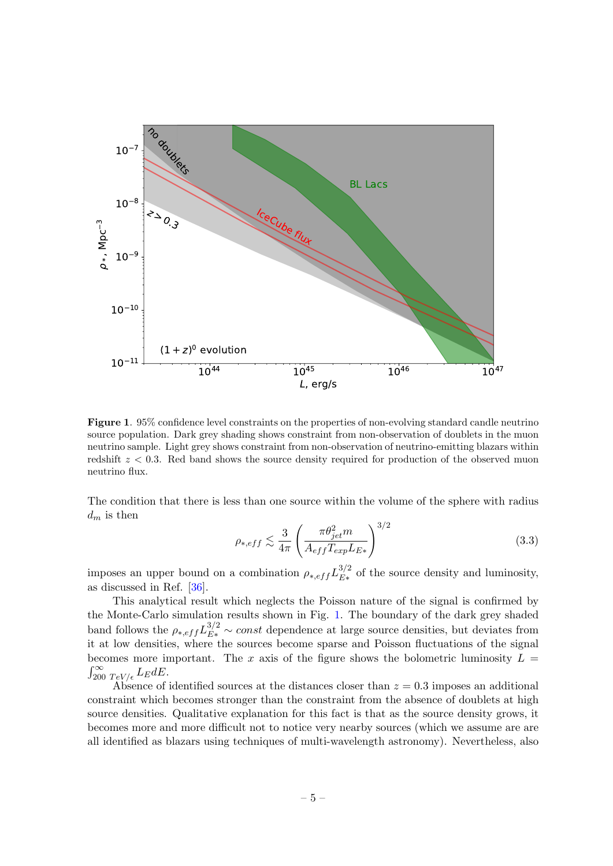

<span id="page-5-0"></span>Figure 1. 95% confidence level constraints on the properties of non-evolving standard candle neutrino source population. Dark grey shading shows constraint from non-observation of doublets in the muon neutrino sample. Light grey shows constraint from non-observation of neutrino-emitting blazars within redshift  $z < 0.3$ . Red band shows the source density required for production of the observed muon neutrino flux.

The condition that there is less than one source within the volume of the sphere with radius  $d_m$  is then

$$
\rho_{*,eff} \lesssim \frac{3}{4\pi} \left( \frac{\pi \theta_{jet}^2 m}{A_{eff} T_{exp} L_{E*}} \right)^{3/2} \tag{3.3}
$$

imposes an upper bound on a combination  $\rho_{*,eff} L_{E*}^{3/2}$  $E_{E*}^{3/2}$  of the source density and luminosity, as discussed in Ref. [\[36\]](#page-13-5).

This analytical result which neglects the Poisson nature of the signal is confirmed by the Monte-Carlo simulation results shown in Fig. [1.](#page-5-0) The boundary of the dark grey shaded band follows the  $\rho_{*,eff} L_{E*}^{3/2} \sim const$  dependence at large source densities, but deviates from it at low densities, where the sources become sparse and Poisson fluctuations of the signal becomes more important. The x axis of the figure shows the bolometric luminosity  $L =$  $\int_{200}^{\infty} T eV/\epsilon} L_E dE.$ 

Absence of identified sources at the distances closer than  $z = 0.3$  imposes an additional constraint which becomes stronger than the constraint from the absence of doublets at high source densities. Qualitative explanation for this fact is that as the source density grows, it becomes more and more difficult not to notice very nearby sources (which we assume are are all identified as blazars using techniques of multi-wavelength astronomy). Nevertheless, also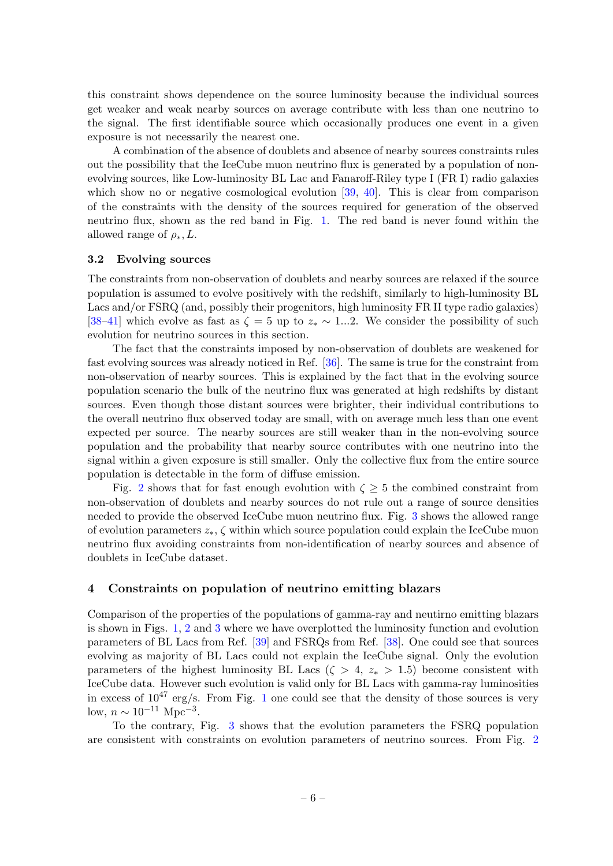this constraint shows dependence on the source luminosity because the individual sources get weaker and weak nearby sources on average contribute with less than one neutrino to the signal. The first identifiable source which occasionally produces one event in a given exposure is not necessarily the nearest one.

A combination of the absence of doublets and absence of nearby sources constraints rules out the possibility that the IceCube muon neutrino flux is generated by a population of nonevolving sources, like Low-luminosity BL Lac and Fanaroff-Riley type I (FR I) radio galaxies which show no or negative cosmological evolution [\[39,](#page-14-1) [40\]](#page-14-2). This is clear from comparison of the constraints with the density of the sources required for generation of the observed neutrino flux, shown as the red band in Fig. [1.](#page-5-0) The red band is never found within the allowed range of  $\rho_*, L$ .

#### <span id="page-6-0"></span>3.2 Evolving sources

The constraints from non-observation of doublets and nearby sources are relaxed if the source population is assumed to evolve positively with the redshift, similarly to high-luminosity BL Lacs and/or FSRQ (and, possibly their progenitors, high luminosity FR II type radio galaxies) [\[38](#page-14-0)[–41\]](#page-14-3) which evolve as fast as  $\zeta = 5$  up to  $z_* \sim 1...2$ . We consider the possibility of such evolution for neutrino sources in this section.

The fact that the constraints imposed by non-observation of doublets are weakened for fast evolving sources was already noticed in Ref. [\[36\]](#page-13-5). The same is true for the constraint from non-observation of nearby sources. This is explained by the fact that in the evolving source population scenario the bulk of the neutrino flux was generated at high redshifts by distant sources. Even though those distant sources were brighter, their individual contributions to the overall neutrino flux observed today are small, with on average much less than one event expected per source. The nearby sources are still weaker than in the non-evolving source population and the probability that nearby source contributes with one neutrino into the signal within a given exposure is still smaller. Only the collective flux from the entire source population is detectable in the form of diffuse emission.

Fig. [2](#page-7-0) shows that for fast enough evolution with  $\zeta \geq 5$  the combined constraint from non-observation of doublets and nearby sources do not rule out a range of source densities needed to provide the observed IceCube muon neutrino flux. Fig. [3](#page-8-0) shows the allowed range of evolution parameters  $z_*, \zeta$  within which source population could explain the IceCube muon neutrino flux avoiding constraints from non-identification of nearby sources and absence of doublets in IceCube dataset.

## <span id="page-6-1"></span>4 Constraints on population of neutrino emitting blazars

Comparison of the properties of the populations of gamma-ray and neutirno emitting blazars is shown in Figs. [1,](#page-5-0) [2](#page-7-0) and [3](#page-8-0) where we have overplotted the luminosity function and evolution parameters of BL Lacs from Ref. [\[39\]](#page-14-1) and FSRQs from Ref. [\[38\]](#page-14-0). One could see that sources evolving as majority of BL Lacs could not explain the IceCube signal. Only the evolution parameters of the highest luminosity BL Lacs ( $\zeta > 4$ ,  $z_* > 1.5$ ) become consistent with IceCube data. However such evolution is valid only for BL Lacs with gamma-ray luminosities in excess of  $10^{47}$  $10^{47}$  erg/s. From Fig. 1 one could see that the density of those sources is very low,  $n \sim 10^{-11}$  Mpc<sup>-3</sup>.

To the contrary, Fig. [3](#page-8-0) shows that the evolution parameters the FSRQ population are consistent with constraints on evolution parameters of neutrino sources. From Fig. [2](#page-7-0)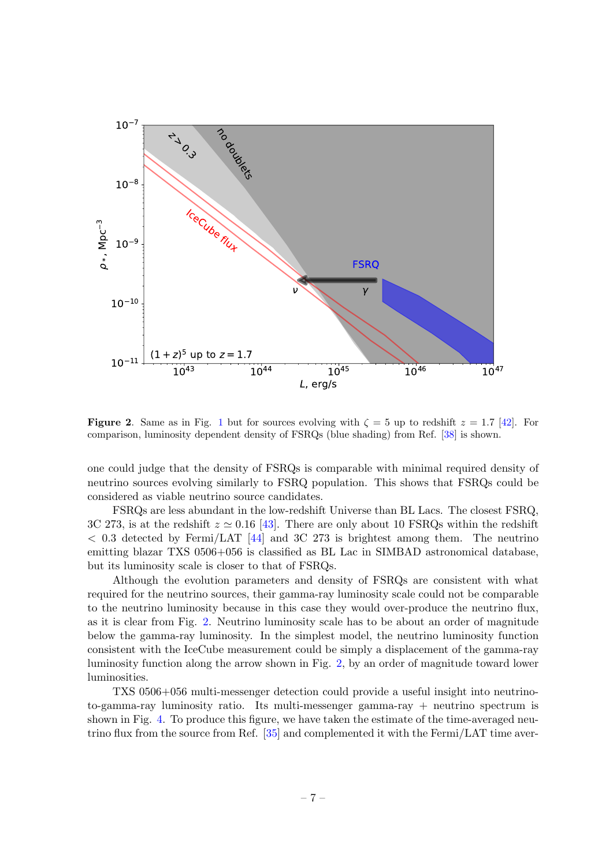

<span id="page-7-0"></span>**Figure 2.** Same as in Fig. [1](#page-5-0) but for sources evolving with  $\zeta = 5$  up to redshift  $z = 1.7$  [\[42\]](#page-14-4). For comparison, luminosity dependent density of FSRQs (blue shading) from Ref. [\[38\]](#page-14-0) is shown.

one could judge that the density of FSRQs is comparable with minimal required density of neutrino sources evolving similarly to FSRQ population. This shows that FSRQs could be considered as viable neutrino source candidates.

FSRQs are less abundant in the low-redshift Universe than BL Lacs. The closest FSRQ, 3C 273, is at the redshift  $z \approx 0.16$  [\[43\]](#page-14-5). There are only about 10 FSRQs within the redshift  $< 0.3$  detected by Fermi/LAT [\[44\]](#page-14-6) and 3C 273 is brightest among them. The neutrino emitting blazar TXS 0506+056 is classified as BL Lac in SIMBAD astronomical database, but its luminosity scale is closer to that of FSRQs.

Although the evolution parameters and density of FSRQs are consistent with what required for the neutrino sources, their gamma-ray luminosity scale could not be comparable to the neutrino luminosity because in this case they would over-produce the neutrino flux, as it is clear from Fig. [2.](#page-7-0) Neutrino luminosity scale has to be about an order of magnitude below the gamma-ray luminosity. In the simplest model, the neutrino luminosity function consistent with the IceCube measurement could be simply a displacement of the gamma-ray luminosity function along the arrow shown in Fig. [2,](#page-7-0) by an order of magnitude toward lower luminosities.

TXS 0506+056 multi-messenger detection could provide a useful insight into neutrinoto-gamma-ray luminosity ratio. Its multi-messenger gamma-ray + neutrino spectrum is shown in Fig. [4.](#page-9-0) To produce this figure, we have taken the estimate of the time-averaged neutrino flux from the source from Ref.  $[35]$  and complemented it with the Fermi/LAT time aver-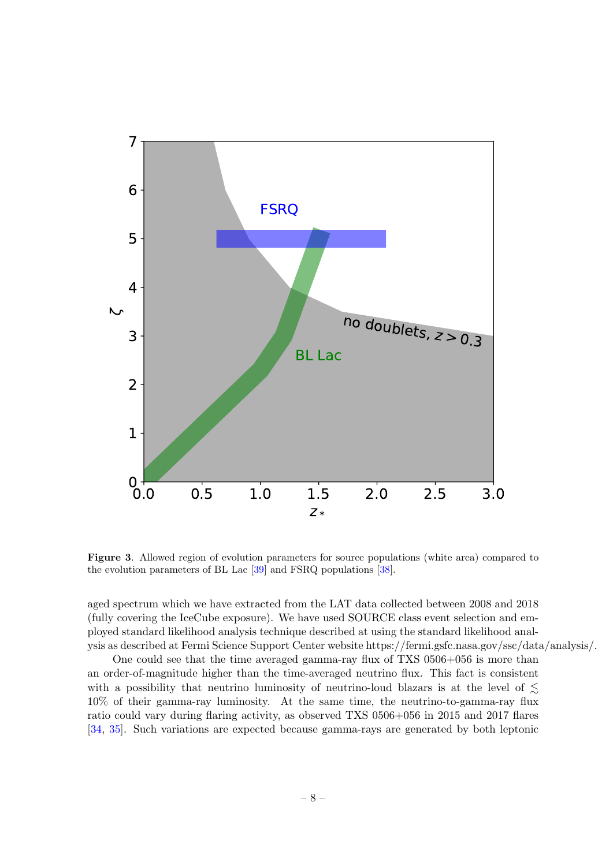

<span id="page-8-0"></span>Figure 3. Allowed region of evolution parameters for source populations (white area) compared to the evolution parameters of BL Lac [\[39\]](#page-14-1) and FSRQ populations [\[38\]](#page-14-0).

aged spectrum which we have extracted from the LAT data collected between 2008 and 2018 (fully covering the IceCube exposure). We have used SOURCE class event selection and employed standard likelihood analysis technique described at using the standard likelihood analysis as described at Fermi Science Support Center website https://fermi.gsfc.nasa.gov/ssc/data/analysis/.

One could see that the time averaged gamma-ray flux of TXS 0506+056 is more than an order-of-magnitude higher than the time-averaged neutrino flux. This fact is consistent with a possibility that neutrino luminosity of neutrino-loud blazars is at the level of  $\lesssim$ 10% of their gamma-ray luminosity. At the same time, the neutrino-to-gamma-ray flux ratio could vary during flaring activity, as observed TXS 0506+056 in 2015 and 2017 flares [\[34,](#page-13-3) [35\]](#page-13-4). Such variations are expected because gamma-rays are generated by both leptonic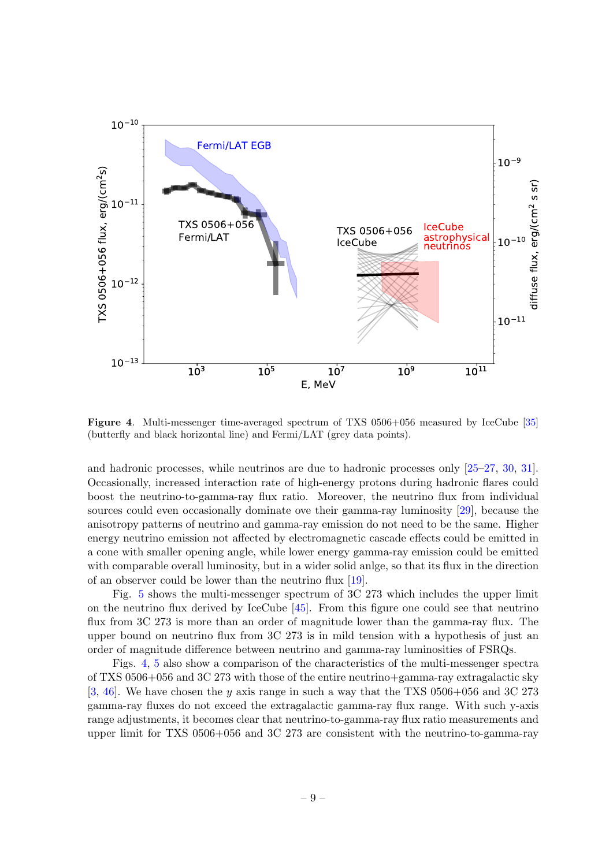

<span id="page-9-0"></span>Figure 4. Multi-messenger time-averaged spectrum of TXS 0506+056 measured by IceCube [\[35\]](#page-13-4) (butterfly and black horizontal line) and Fermi/LAT (grey data points).

and hadronic processes, while neutrinos are due to hadronic processes only [\[25–](#page-12-11)[27,](#page-12-12) [30,](#page-13-7) [31\]](#page-13-0). Occasionally, increased interaction rate of high-energy protons during hadronic flares could boost the neutrino-to-gamma-ray flux ratio. Moreover, the neutrino flux from individual sources could even occasionally dominate ove their gamma-ray luminosity [\[29\]](#page-13-8), because the anisotropy patterns of neutrino and gamma-ray emission do not need to be the same. Higher energy neutrino emission not affected by electromagnetic cascade effects could be emitted in a cone with smaller opening angle, while lower energy gamma-ray emission could be emitted with comparable overall luminosity, but in a wider solid anlge, so that its flux in the direction of an observer could be lower than the neutrino flux [\[19\]](#page-12-5).

Fig. [5](#page-10-1) shows the multi-messenger spectrum of 3C 273 which includes the upper limit on the neutrino flux derived by IceCube [\[45\]](#page-14-7). From this figure one could see that neutrino flux from 3C 273 is more than an order of magnitude lower than the gamma-ray flux. The upper bound on neutrino flux from 3C 273 is in mild tension with a hypothesis of just an order of magnitude difference between neutrino and gamma-ray luminosities of FSRQs.

Figs. [4,](#page-9-0) [5](#page-10-1) also show a comparison of the characteristics of the multi-messenger spectra of TXS 0506+056 and 3C 273 with those of the entire neutrino+gamma-ray extragalactic sky [\[3,](#page-11-2) [46\]](#page-15-0). We have chosen the y axis range in such a way that the TXS  $0506+056$  and 3C 273 gamma-ray fluxes do not exceed the extragalactic gamma-ray flux range. With such y-axis range adjustments, it becomes clear that neutrino-to-gamma-ray flux ratio measurements and upper limit for TXS 0506+056 and 3C 273 are consistent with the neutrino-to-gamma-ray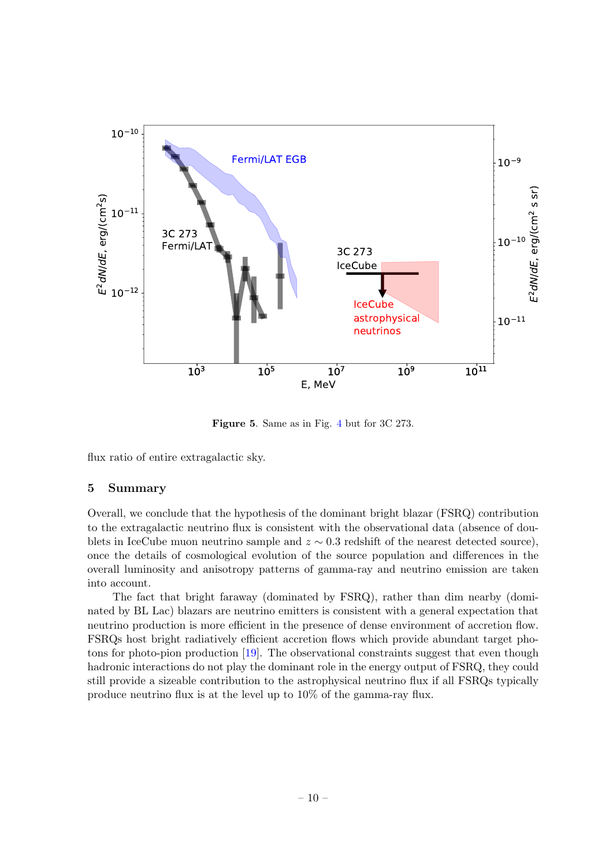

<span id="page-10-1"></span>Figure 5. Same as in Fig. [4](#page-9-0) but for 3C 273.

flux ratio of entire extragalactic sky.

#### <span id="page-10-0"></span>5 Summary

Overall, we conclude that the hypothesis of the dominant bright blazar (FSRQ) contribution to the extragalactic neutrino flux is consistent with the observational data (absence of doublets in IceCube muon neutrino sample and  $z \sim 0.3$  redshift of the nearest detected source), once the details of cosmological evolution of the source population and differences in the overall luminosity and anisotropy patterns of gamma-ray and neutrino emission are taken into account.

The fact that bright faraway (dominated by FSRQ), rather than dim nearby (dominated by BL Lac) blazars are neutrino emitters is consistent with a general expectation that neutrino production is more efficient in the presence of dense environment of accretion flow. FSRQs host bright radiatively efficient accretion flows which provide abundant target photons for photo-pion production [\[19\]](#page-12-5). The observational constraints suggest that even though hadronic interactions do not play the dominant role in the energy output of FSRQ, they could still provide a sizeable contribution to the astrophysical neutrino flux if all FSRQs typically produce neutrino flux is at the level up to 10% of the gamma-ray flux.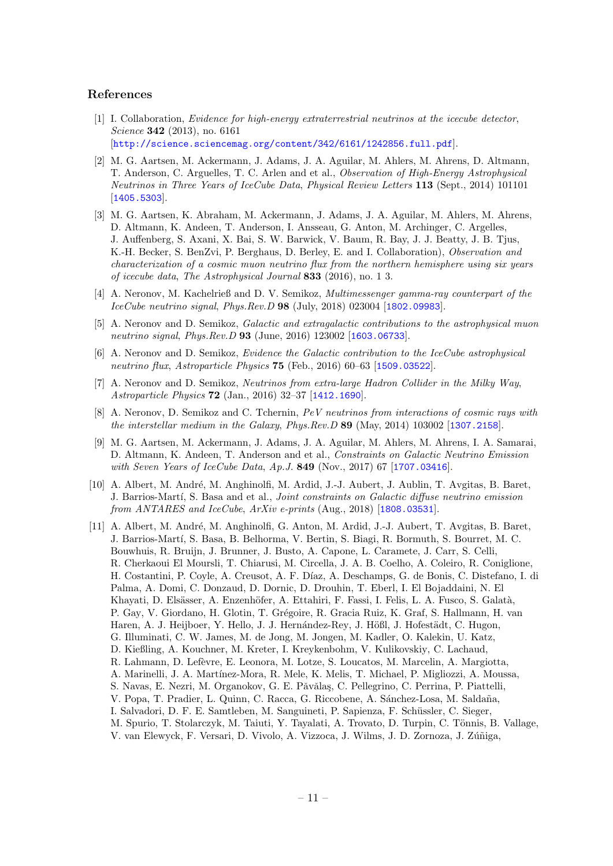#### References

- <span id="page-11-0"></span>[1] I. Collaboration, Evidence for high-energy extraterrestrial neutrinos at the icecube detector, Science 342 (2013), no. 6161 [[http://science.sciencemag.org/content/342/6161/1242856.full.pdf](http://arXiv.org/abs/http://science.sciencemag.org/content/342/6161/1242856.full.pdf)].
- <span id="page-11-1"></span>[2] M. G. Aartsen, M. Ackermann, J. Adams, J. A. Aguilar, M. Ahlers, M. Ahrens, D. Altmann, T. Anderson, C. Arguelles, T. C. Arlen and et al., Observation of High-Energy Astrophysical Neutrinos in Three Years of IceCube Data, Physical Review Letters 113 (Sept., 2014) 101101 [[1405.5303](http://arXiv.org/abs/1405.5303)].
- <span id="page-11-2"></span>[3] M. G. Aartsen, K. Abraham, M. Ackermann, J. Adams, J. A. Aguilar, M. Ahlers, M. Ahrens, D. Altmann, K. Andeen, T. Anderson, I. Ansseau, G. Anton, M. Archinger, C. Argelles, J. Auffenberg, S. Axani, X. Bai, S. W. Barwick, V. Baum, R. Bay, J. J. Beatty, J. B. Tjus, K.-H. Becker, S. BenZvi, P. Berghaus, D. Berley, E. and I. Collaboration), Observation and characterization of a cosmic muon neutrino flux from the northern hemisphere using six years of icecube data, The Astrophysical Journal 833 (2016), no. 1 3.
- <span id="page-11-3"></span>[4] A. Neronov, M. Kachelrieß and D. V. Semikoz, Multimessenger gamma-ray counterpart of the IceCube neutrino signal, Phys.Rev.D 98 (July, 2018) 023004 [[1802.09983](http://arXiv.org/abs/1802.09983)].
- [5] A. Neronov and D. Semikoz, Galactic and extragalactic contributions to the astrophysical muon neutrino signal, Phys.Rev.D 93 (June, 2016) 123002 [[1603.06733](http://arXiv.org/abs/1603.06733)].
- [6] A. Neronov and D. Semikoz, Evidence the Galactic contribution to the IceCube astrophysical neutrino flux, Astroparticle Physics 75 (Feb., 2016) 60–63 [[1509.03522](http://arXiv.org/abs/1509.03522)].
- [7] A. Neronov and D. Semikoz, Neutrinos from extra-large Hadron Collider in the Milky Way, Astroparticle Physics 72 (Jan., 2016) 32–37 [[1412.1690](http://arXiv.org/abs/1412.1690)].
- <span id="page-11-4"></span>[8] A. Neronov, D. Semikoz and C. Tchernin, PeV neutrinos from interactions of cosmic rays with the interstellar medium in the Galaxy, Phys.Rev.D 89 (May, 2014) 103002 [[1307.2158](http://arXiv.org/abs/1307.2158)].
- <span id="page-11-5"></span>[9] M. G. Aartsen, M. Ackermann, J. Adams, J. A. Aguilar, M. Ahlers, M. Ahrens, I. A. Samarai, D. Altmann, K. Andeen, T. Anderson and et al., Constraints on Galactic Neutrino Emission with Seven Years of IceCube Data, Ap. J. 849 (Nov., 2017) 67 [[1707.03416](http://arXiv.org/abs/1707.03416)].
- [10] A. Albert, M. André, M. Anghinolfi, M. Ardid, J.-J. Aubert, J. Aublin, T. Avgitas, B. Baret, J. Barrios-Martí, S. Basa and et al., Joint constraints on Galactic diffuse neutrino emission from ANTARES and IceCube,  $ArXiv$  e-prints (Aug., 2018) [[1808.03531](http://arXiv.org/abs/1808.03531)].
- <span id="page-11-6"></span>[11] A. Albert, M. André, M. Anghinolfi, G. Anton, M. Ardid, J.-J. Aubert, T. Avgitas, B. Baret, J. Barrios-Mart´ı, S. Basa, B. Belhorma, V. Bertin, S. Biagi, R. Bormuth, S. Bourret, M. C. Bouwhuis, R. Bruijn, J. Brunner, J. Busto, A. Capone, L. Caramete, J. Carr, S. Celli, R. Cherkaoui El Moursli, T. Chiarusi, M. Circella, J. A. B. Coelho, A. Coleiro, R. Coniglione, H. Costantini, P. Coyle, A. Creusot, A. F. D´ıaz, A. Deschamps, G. de Bonis, C. Distefano, I. di Palma, A. Domi, C. Donzaud, D. Dornic, D. Drouhin, T. Eberl, I. El Bojaddaini, N. El Khayati, D. Elsässer, A. Enzenhöfer, A. Ettahiri, F. Fassi, I. Felis, L. A. Fusco, S. Galatà, P. Gay, V. Giordano, H. Glotin, T. Grégoire, R. Gracia Ruiz, K. Graf, S. Hallmann, H. van Haren, A. J. Heijboer, Y. Hello, J. J. Hernández-Rey, J. Hößl, J. Hofestädt, C. Hugon, G. Illuminati, C. W. James, M. de Jong, M. Jongen, M. Kadler, O. Kalekin, U. Katz, D. Kießling, A. Kouchner, M. Kreter, I. Kreykenbohm, V. Kulikovskiy, C. Lachaud, R. Lahmann, D. Lefèvre, E. Leonora, M. Lotze, S. Loucatos, M. Marcelin, A. Margiotta, A. Marinelli, J. A. Mart´ınez-Mora, R. Mele, K. Melis, T. Michael, P. Migliozzi, A. Moussa, S. Navas, E. Nezri, M. Organokov, G. E. Păvălaș, C. Pellegrino, C. Perrina, P. Piattelli, V. Popa, T. Pradier, L. Quinn, C. Racca, G. Riccobene, A. Sánchez-Losa, M. Saldaña, I. Salvadori, D. F. E. Samtleben, M. Sanguineti, P. Sapienza, F. Schüssler, C. Sieger, M. Spurio, T. Stolarczyk, M. Taiuti, Y. Tayalati, A. Trovato, D. Turpin, C. Tönnis, B. Vallage, V. van Elewyck, F. Versari, D. Vivolo, A. Vizzoca, J. Wilms, J. D. Zornoza, J. Zúñiga,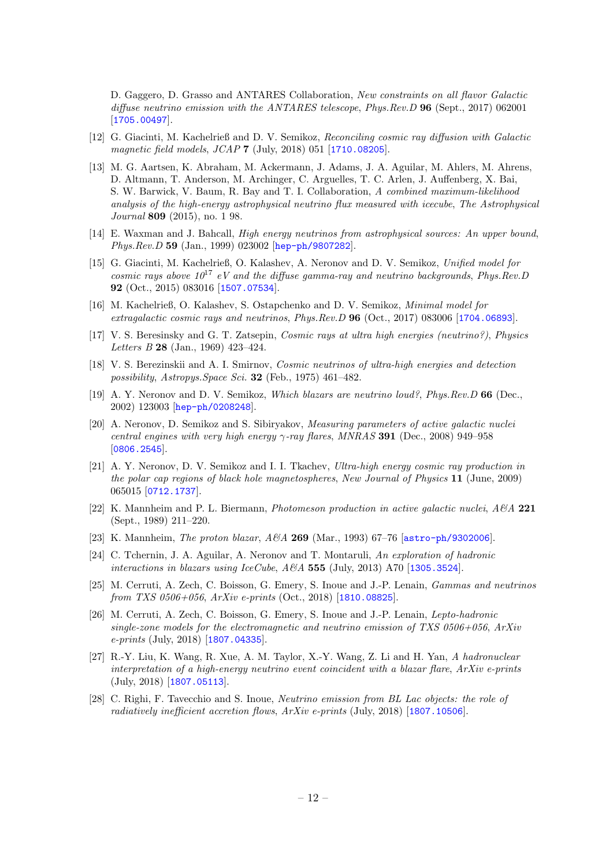D. Gaggero, D. Grasso and ANTARES Collaboration, New constraints on all flavor Galactic diffuse neutrino emission with the ANTARES telescope, Phys.Rev.D 96 (Sept., 2017) 062001 [[1705.00497](http://arXiv.org/abs/1705.00497)].

- <span id="page-12-0"></span>[12] G. Giacinti, M. Kachelrieß and D. V. Semikoz, Reconciling cosmic ray diffusion with Galactic magnetic field models, JCAP 7 (July, 2018) 051 [[1710.08205](http://arXiv.org/abs/1710.08205)].
- <span id="page-12-1"></span>[13] M. G. Aartsen, K. Abraham, M. Ackermann, J. Adams, J. A. Aguilar, M. Ahlers, M. Ahrens, D. Altmann, T. Anderson, M. Archinger, C. Arguelles, T. C. Arlen, J. Auffenberg, X. Bai, S. W. Barwick, V. Baum, R. Bay and T. I. Collaboration, A combined maximum-likelihood analysis of the high-energy astrophysical neutrino flux measured with icecube, The Astrophysical Journal 809 (2015), no. 1 98.
- <span id="page-12-2"></span>[14] E. Waxman and J. Bahcall, *High energy neutrinos from astrophysical sources: An upper bound*, Phys.Rev.D 59 (Jan., 1999) 023002 [[hep-ph/9807282](http://arXiv.org/abs/hep-ph/9807282)].
- [15] G. Giacinti, M. Kachelrieß, O. Kalashev, A. Neronov and D. V. Semikoz, Unified model for cosmic rays above  $10^{17}$  eV and the diffuse gamma-ray and neutrino backgrounds, Phys.Rev.D 92 (Oct., 2015) 083016 [[1507.07534](http://arXiv.org/abs/1507.07534)].
- <span id="page-12-3"></span>[16] M. Kachelrieß, O. Kalashev, S. Ostapchenko and D. V. Semikoz, Minimal model for extragalactic cosmic rays and neutrinos,  $Phys. Rev.D 96 (Oct., 2017) 083006 [1704.06893].$  $Phys. Rev.D 96 (Oct., 2017) 083006 [1704.06893].$  $Phys. Rev.D 96 (Oct., 2017) 083006 [1704.06893].$
- [17] V. S. Beresinsky and G. T. Zatsepin, Cosmic rays at ultra high energies (neutrino?), Physics Letters B 28 (Jan., 1969) 423–424.
- <span id="page-12-4"></span>[18] V. S. Berezinskii and A. I. Smirnov, Cosmic neutrinos of ultra-high energies and detection possibility, Astropys.Space Sci. 32 (Feb., 1975) 461–482.
- <span id="page-12-5"></span>[19] A. Y. Neronov and D. V. Semikoz, Which blazars are neutrino loud?, Phys.Rev.D 66 (Dec., 2002) 123003 [[hep-ph/0208248](http://arXiv.org/abs/hep-ph/0208248)].
- <span id="page-12-7"></span>[20] A. Neronov, D. Semikoz and S. Sibiryakov, Measuring parameters of active galactic nuclei central engines with very high energy  $\gamma$ -ray flares, MNRAS 391 (Dec., 2008) 949–958 [[0806.2545](http://arXiv.org/abs/0806.2545)].
- <span id="page-12-6"></span>[21] A. Y. Neronov, D. V. Semikoz and I. I. Tkachev, Ultra-high energy cosmic ray production in the polar cap regions of black hole magnetospheres, New Journal of Physics 11 (June, 2009) 065015 [[0712.1737](http://arXiv.org/abs/0712.1737)].
- <span id="page-12-8"></span>[22] K. Mannheim and P. L. Biermann, *Photomeson production in active galactic nuclei,*  $A\mathscr{B}A$  221 (Sept., 1989) 211–220.
- <span id="page-12-9"></span>[23] K. Mannheim, The proton blazar, A&A 269 (Mar., 1993) 67–76 [[astro-ph/9302006](http://arXiv.org/abs/astro-ph/9302006)].
- [24] C. Tchernin, J. A. Aguilar, A. Neronov and T. Montaruli, An exploration of hadronic interactions in blazars using IceCube,  $A\&A$  555 (July, 2013) A70 [[1305.3524](http://arXiv.org/abs/1305.3524)].
- <span id="page-12-11"></span>[25] M. Cerruti, A. Zech, C. Boisson, G. Emery, S. Inoue and J.-P. Lenain, Gammas and neutrinos from TXS 0506+056, ArXiv e-prints (Oct., 2018) [[1810.08825](http://arXiv.org/abs/1810.08825)].
- [26] M. Cerruti, A. Zech, C. Boisson, G. Emery, S. Inoue and J.-P. Lenain, Lepto-hadronic single-zone models for the electromagnetic and neutrino emission of TXS  $0506+056$ ,  $ArXiv$  $e\text{-}prints$  (July, 2018) [[1807.04335](http://arXiv.org/abs/1807.04335)].
- <span id="page-12-12"></span>[27] R.-Y. Liu, K. Wang, R. Xue, A. M. Taylor, X.-Y. Wang, Z. Li and H. Yan, A hadronuclear interpretation of a high-energy neutrino event coincident with a blazar flare, ArXiv e-prints (July, 2018) [[1807.05113](http://arXiv.org/abs/1807.05113)].
- <span id="page-12-10"></span>[28] C. Righi, F. Tavecchio and S. Inoue, Neutrino emission from BL Lac objects: the role of radiatively inefficient accretion flows, ArXiv e-prints (July, 2018) [[1807.10506](http://arXiv.org/abs/1807.10506)].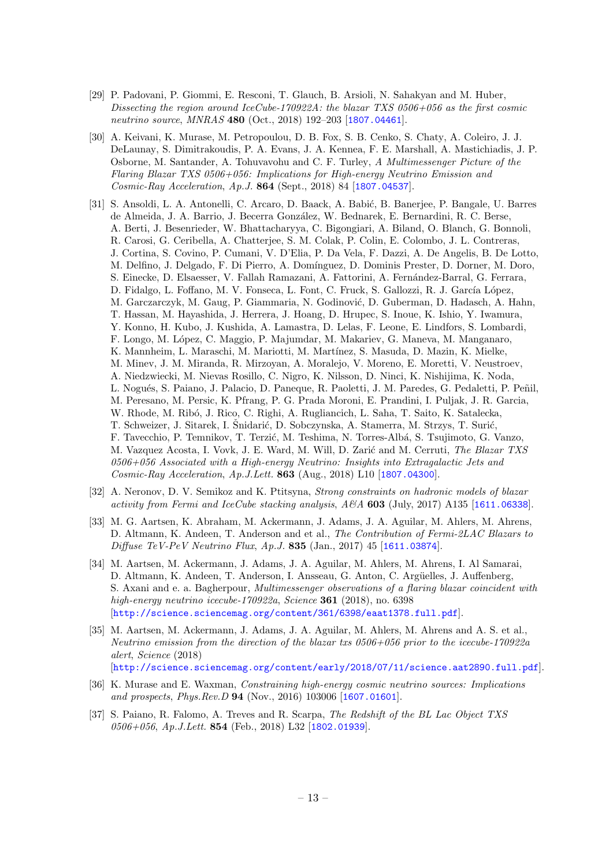- <span id="page-13-8"></span>[29] P. Padovani, P. Giommi, E. Resconi, T. Glauch, B. Arsioli, N. Sahakyan and M. Huber, Dissecting the region around IceCube-170922A: the blazar TXS  $0506+056$  as the first cosmic neutrino source, MNRAS 480 (Oct., 2018) 192-203 [[1807.04461](http://arXiv.org/abs/1807.04461)].
- <span id="page-13-7"></span>[30] A. Keivani, K. Murase, M. Petropoulou, D. B. Fox, S. B. Cenko, S. Chaty, A. Coleiro, J. J. DeLaunay, S. Dimitrakoudis, P. A. Evans, J. A. Kennea, F. E. Marshall, A. Mastichiadis, J. P. Osborne, M. Santander, A. Tohuvavohu and C. F. Turley, A Multimessenger Picture of the Flaring Blazar TXS 0506+056: Implications for High-energy Neutrino Emission and Cosmic-Ray Acceleration, Ap.J. 864 (Sept., 2018) 84 [[1807.04537](http://arXiv.org/abs/1807.04537)].
- <span id="page-13-0"></span>[31] S. Ansoldi, L. A. Antonelli, C. Arcaro, D. Baack, A. Babić, B. Banerjee, P. Bangale, U. Barres de Almeida, J. A. Barrio, J. Becerra Gonz´alez, W. Bednarek, E. Bernardini, R. C. Berse, A. Berti, J. Besenrieder, W. Bhattacharyya, C. Bigongiari, A. Biland, O. Blanch, G. Bonnoli, R. Carosi, G. Ceribella, A. Chatterjee, S. M. Colak, P. Colin, E. Colombo, J. L. Contreras, J. Cortina, S. Covino, P. Cumani, V. D'Elia, P. Da Vela, F. Dazzi, A. De Angelis, B. De Lotto, M. Delfino, J. Delgado, F. Di Pierro, A. Dom´ınguez, D. Dominis Prester, D. Dorner, M. Doro, S. Einecke, D. Elsaesser, V. Fallah Ramazani, A. Fattorini, A. Fernández-Barral, G. Ferrara, D. Fidalgo, L. Foffano, M. V. Fonseca, L. Font, C. Fruck, S. Gallozzi, R. J. García López, M. Garczarczyk, M. Gaug, P. Giammaria, N. Godinović, D. Guberman, D. Hadasch, A. Hahn, T. Hassan, M. Hayashida, J. Herrera, J. Hoang, D. Hrupec, S. Inoue, K. Ishio, Y. Iwamura, Y. Konno, H. Kubo, J. Kushida, A. Lamastra, D. Lelas, F. Leone, E. Lindfors, S. Lombardi, F. Longo, M. L´opez, C. Maggio, P. Majumdar, M. Makariev, G. Maneva, M. Manganaro, K. Mannheim, L. Maraschi, M. Mariotti, M. Martínez, S. Masuda, D. Mazin, K. Mielke, M. Minev, J. M. Miranda, R. Mirzoyan, A. Moralejo, V. Moreno, E. Moretti, V. Neustroev, A. Niedzwiecki, M. Nievas Rosillo, C. Nigro, K. Nilsson, D. Ninci, K. Nishijima, K. Noda, L. Nogués, S. Paiano, J. Palacio, D. Paneque, R. Paoletti, J. M. Paredes, G. Pedaletti, P. Peñil, M. Peresano, M. Persic, K. Pfrang, P. G. Prada Moroni, E. Prandini, I. Puljak, J. R. Garcia, W. Rhode, M. Rib´o, J. Rico, C. Righi, A. Rugliancich, L. Saha, T. Saito, K. Satalecka, T. Schweizer, J. Sitarek, I. Śnidarić, D. Sobczynska, A. Stamerra, M. Strzys, T. Surić, F. Tavecchio, P. Temnikov, T. Terzić, M. Teshima, N. Torres-Albá, S. Tsujimoto, G. Vanzo, M. Vazquez Acosta, I. Vovk, J. E. Ward, M. Will, D. Zarić and M. Cerruti, The Blazar TXS 0506+056 Associated with a High-energy Neutrino: Insights into Extragalactic Jets and Cosmic-Ray Acceleration, Ap.J.Lett. 863 (Aug., 2018) L10 [[1807.04300](http://arXiv.org/abs/1807.04300)].
- <span id="page-13-1"></span>[32] A. Neronov, D. V. Semikoz and K. Ptitsyna, Strong constraints on hadronic models of blazar activity from Fermi and IceCube stacking analysis,  $A\&A$  603 (July, 2017) A135 [[1611.06338](http://arXiv.org/abs/1611.06338)].
- <span id="page-13-2"></span>[33] M. G. Aartsen, K. Abraham, M. Ackermann, J. Adams, J. A. Aguilar, M. Ahlers, M. Ahrens, D. Altmann, K. Andeen, T. Anderson and et al., The Contribution of Fermi-2LAC Blazars to Diffuse TeV-PeV Neutrino Flux, Ap.J. 835 (Jan., 2017) 45 [[1611.03874](http://arXiv.org/abs/1611.03874)].
- <span id="page-13-3"></span>[34] M. Aartsen, M. Ackermann, J. Adams, J. A. Aguilar, M. Ahlers, M. Ahrens, I. Al Samarai, D. Altmann, K. Andeen, T. Anderson, I. Ansseau, G. Anton, C. Argüelles, J. Auffenberg, S. Axani and e. a. Bagherpour, Multimessenger observations of a flaring blazar coincident with high-energy neutrino icecube-170922a, Science 361 (2018), no. 6398 [[http://science.sciencemag.org/content/361/6398/eaat1378.full.pdf](http://arXiv.org/abs/http://science.sciencemag.org/content/361/6398/eaat1378.full.pdf)].
- <span id="page-13-4"></span>[35] M. Aartsen, M. Ackermann, J. Adams, J. A. Aguilar, M. Ahlers, M. Ahrens and A. S. et al., Neutrino emission from the direction of the blazar txs  $0506+056$  prior to the icecube-170922a alert, Science (2018) [[http://science.sciencemag.org/content/early/2018/07/11/science.aat2890.full.pdf](http://arXiv.org/abs/http://science.sciencemag.org/content/early/2018/07/11/science.aat2890.full.pdf)].
- <span id="page-13-5"></span>[36] K. Murase and E. Waxman, Constraining high-energy cosmic neutrino sources: Implications and prospects, Phys.Rev.D 94 (Nov., 2016) 103006 [[1607.01601](http://arXiv.org/abs/1607.01601)].
- <span id="page-13-6"></span>[37] S. Paiano, R. Falomo, A. Treves and R. Scarpa, The Redshift of the BL Lac Object TXS  $0506+056$ , Ap. J. Lett. 854 (Feb., 2018) L32 [[1802.01939](http://arXiv.org/abs/1802.01939)].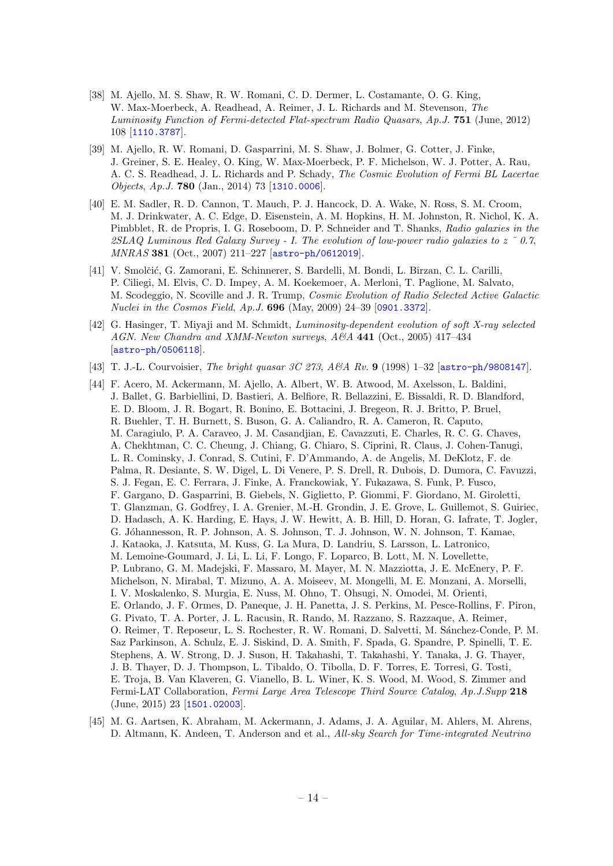- <span id="page-14-0"></span>[38] M. Ajello, M. S. Shaw, R. W. Romani, C. D. Dermer, L. Costamante, O. G. King, W. Max-Moerbeck, A. Readhead, A. Reimer, J. L. Richards and M. Stevenson, The Luminosity Function of Fermi-detected Flat-spectrum Radio Quasars, Ap.J. 751 (June, 2012) 108 [[1110.3787](http://arXiv.org/abs/1110.3787)].
- <span id="page-14-1"></span>[39] M. Ajello, R. W. Romani, D. Gasparrini, M. S. Shaw, J. Bolmer, G. Cotter, J. Finke, J. Greiner, S. E. Healey, O. King, W. Max-Moerbeck, P. F. Michelson, W. J. Potter, A. Rau, A. C. S. Readhead, J. L. Richards and P. Schady, The Cosmic Evolution of Fermi BL Lacertae Objects, Ap.J. 780 (Jan., 2014) 73 [[1310.0006](http://arXiv.org/abs/1310.0006)].
- <span id="page-14-2"></span>[40] E. M. Sadler, R. D. Cannon, T. Mauch, P. J. Hancock, D. A. Wake, N. Ross, S. M. Croom, M. J. Drinkwater, A. C. Edge, D. Eisenstein, A. M. Hopkins, H. M. Johnston, R. Nichol, K. A. Pimbblet, R. de Propris, I. G. Roseboom, D. P. Schneider and T. Shanks, Radio galaxies in the 2SLAQ Luminous Red Galaxy Survey - I. The evolution of low-power radio galaxies to  $z \sim 0.7$ , MNRAS 381 (Oct., 2007) 211–227 [[astro-ph/0612019](http://arXiv.org/abs/astro-ph/0612019)].
- <span id="page-14-3"></span>[41] V. Smolčić, G. Zamorani, E. Schinnerer, S. Bardelli, M. Bondi, L. Bîrzan, C. L. Carilli, P. Ciliegi, M. Elvis, C. D. Impey, A. M. Koekemoer, A. Merloni, T. Paglione, M. Salvato, M. Scodeggio, N. Scoville and J. R. Trump, Cosmic Evolution of Radio Selected Active Galactic Nuclei in the Cosmos Field, Ap.J. 696 (May, 2009) 24–39 [[0901.3372](http://arXiv.org/abs/0901.3372)].
- <span id="page-14-4"></span>[42] G. Hasinger, T. Miyaji and M. Schmidt, Luminosity-dependent evolution of soft X-ray selected AGN. New Chandra and XMM-Newton surveys, A&A 441 (Oct., 2005) 417–434 [[astro-ph/0506118](http://arXiv.org/abs/astro-ph/0506118)].
- <span id="page-14-5"></span>[43] T. J.-L. Courvoisier, The bright quasar 3C 273, A&A Rv. 9 (1998) 1–32 [[astro-ph/9808147](http://arXiv.org/abs/astro-ph/9808147)].
- <span id="page-14-6"></span>[44] F. Acero, M. Ackermann, M. Ajello, A. Albert, W. B. Atwood, M. Axelsson, L. Baldini, J. Ballet, G. Barbiellini, D. Bastieri, A. Belfiore, R. Bellazzini, E. Bissaldi, R. D. Blandford, E. D. Bloom, J. R. Bogart, R. Bonino, E. Bottacini, J. Bregeon, R. J. Britto, P. Bruel, R. Buehler, T. H. Burnett, S. Buson, G. A. Caliandro, R. A. Cameron, R. Caputo, M. Caragiulo, P. A. Caraveo, J. M. Casandjian, E. Cavazzuti, E. Charles, R. C. G. Chaves, A. Chekhtman, C. C. Cheung, J. Chiang, G. Chiaro, S. Ciprini, R. Claus, J. Cohen-Tanugi, L. R. Cominsky, J. Conrad, S. Cutini, F. D'Ammando, A. de Angelis, M. DeKlotz, F. de Palma, R. Desiante, S. W. Digel, L. Di Venere, P. S. Drell, R. Dubois, D. Dumora, C. Favuzzi, S. J. Fegan, E. C. Ferrara, J. Finke, A. Franckowiak, Y. Fukazawa, S. Funk, P. Fusco, F. Gargano, D. Gasparrini, B. Giebels, N. Giglietto, P. Giommi, F. Giordano, M. Giroletti, T. Glanzman, G. Godfrey, I. A. Grenier, M.-H. Grondin, J. E. Grove, L. Guillemot, S. Guiriec, D. Hadasch, A. K. Harding, E. Hays, J. W. Hewitt, A. B. Hill, D. Horan, G. Iafrate, T. Jogler, G. Jóhannesson, R. P. Johnson, A. S. Johnson, T. J. Johnson, W. N. Johnson, T. Kamae, J. Kataoka, J. Katsuta, M. Kuss, G. La Mura, D. Landriu, S. Larsson, L. Latronico, M. Lemoine-Goumard, J. Li, L. Li, F. Longo, F. Loparco, B. Lott, M. N. Lovellette, P. Lubrano, G. M. Madejski, F. Massaro, M. Mayer, M. N. Mazziotta, J. E. McEnery, P. F. Michelson, N. Mirabal, T. Mizuno, A. A. Moiseev, M. Mongelli, M. E. Monzani, A. Morselli, I. V. Moskalenko, S. Murgia, E. Nuss, M. Ohno, T. Ohsugi, N. Omodei, M. Orienti, E. Orlando, J. F. Ormes, D. Paneque, J. H. Panetta, J. S. Perkins, M. Pesce-Rollins, F. Piron, G. Pivato, T. A. Porter, J. L. Racusin, R. Rando, M. Razzano, S. Razzaque, A. Reimer, O. Reimer, T. Reposeur, L. S. Rochester, R. W. Romani, D. Salvetti, M. Sánchez-Conde, P. M. Saz Parkinson, A. Schulz, E. J. Siskind, D. A. Smith, F. Spada, G. Spandre, P. Spinelli, T. E. Stephens, A. W. Strong, D. J. Suson, H. Takahashi, T. Takahashi, Y. Tanaka, J. G. Thayer, J. B. Thayer, D. J. Thompson, L. Tibaldo, O. Tibolla, D. F. Torres, E. Torresi, G. Tosti, E. Troja, B. Van Klaveren, G. Vianello, B. L. Winer, K. S. Wood, M. Wood, S. Zimmer and Fermi-LAT Collaboration, Fermi Large Area Telescope Third Source Catalog, Ap.J.Supp 218 (June, 2015) 23 [[1501.02003](http://arXiv.org/abs/1501.02003)].
- <span id="page-14-7"></span>[45] M. G. Aartsen, K. Abraham, M. Ackermann, J. Adams, J. A. Aguilar, M. Ahlers, M. Ahrens, D. Altmann, K. Andeen, T. Anderson and et al., All-sky Search for Time-integrated Neutrino